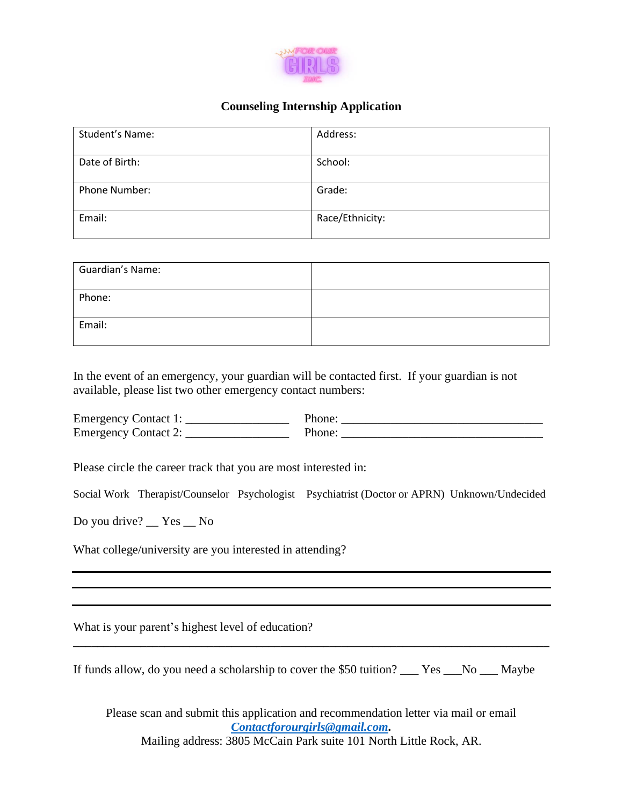

## **Counseling Internship Application**

| Student's Name: | Address:        |
|-----------------|-----------------|
| Date of Birth:  | School:         |
| Phone Number:   | Grade:          |
| Email:          | Race/Ethnicity: |

| Guardian's Name: |  |
|------------------|--|
| Phone:           |  |
| Email:           |  |

In the event of an emergency, your guardian will be contacted first. If your guardian is not available, please list two other emergency contact numbers:

Emergency Contact 1: Phone: Phone: Emergency Contact 2: \_\_\_\_\_\_\_\_\_\_\_\_\_\_\_\_\_ Phone: \_\_\_\_\_\_\_\_\_\_\_\_\_\_\_\_\_\_\_\_\_\_\_\_\_\_\_\_\_\_\_\_\_

Please circle the career track that you are most interested in:

Social Work Therapist/Counselor Psychologist Psychiatrist (Doctor or APRN) Unknown/Undecided

Do you drive? \_\_ Yes \_\_ No

What college/university are you interested in attending?

What is your parent's highest level of education?

If funds allow, do you need a scholarship to cover the \$50 tuition?  $\_\_\_\$  Yes  $\_\_\$  No  $\_\_\$  Maybe

**\_\_\_\_\_\_\_\_\_\_\_\_\_\_\_\_\_\_\_\_\_\_\_\_\_\_\_\_\_\_\_\_\_\_\_\_\_\_\_\_\_\_\_\_\_\_\_\_\_\_\_\_\_\_\_\_\_\_\_\_\_\_\_\_\_\_\_\_\_\_\_\_\_\_\_\_\_\_**

Please scan and submit this application and recommendation letter via mail or email *[Contactforourgirls@gmail.com.](mailto:Contactforourgirls@gmail.com)* Mailing address: 3805 McCain Park suite 101 North Little Rock, AR.